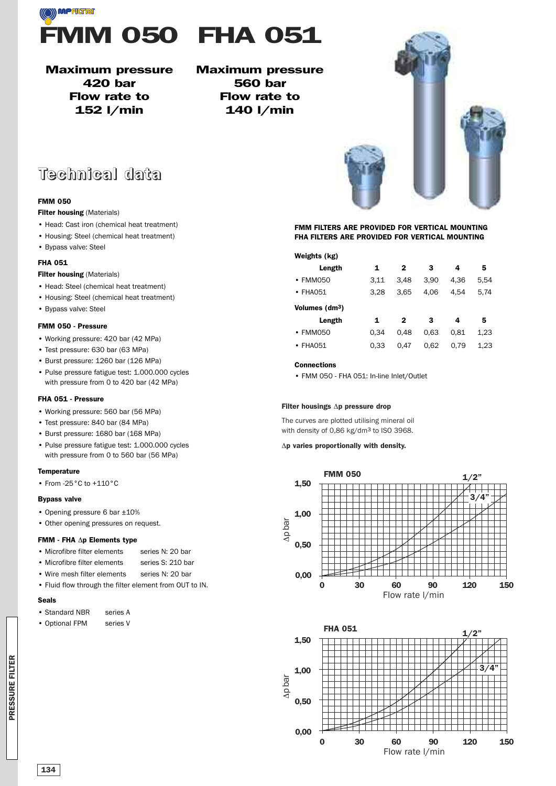

**Maximum pressure 420 bar Flow rate to 152 l/min**

#### **Maximum pressure 560 bar Flow rate to 140 l/min**

## **Technical data**

#### **FMM 050**

#### **Filter housing** (Materials)

- Head: Cast iron (chemical heat treatment)
- Housing: Steel (chemical heat treatment)
- Bypass valve: Steel

#### **FHA 051**

#### **Filter housing** (Materials)

- Head: Steel (chemical heat treatment)
- Housing: Steel (chemical heat treatment)
- Bypass valve: Steel

#### **FMM 050 - Pressure**

- Working pressure: 420 bar (42 MPa)
- Test pressure: 630 bar (63 MPa)
- Burst pressure: 1260 bar (126 MPa)
- Pulse pressure fatigue test: 1.000.000 cycles with pressure from 0 to 420 bar (42 MPa)

#### **FHA 051 - Pressure**

- Working pressure: 560 bar (56 MPa)
- Test pressure: 840 bar (84 MPa)
- Burst pressure: 1680 bar (168 MPa)
- Pulse pressure fatigue test: 1.000.000 cycles with pressure from 0 to 560 bar (56 MPa)

#### **Temperature**

• From -25°C to +110°C

#### **Bypass valve**

- Opening pressure 6 bar ±10%
- Other opening pressures on request.

#### **FMM - FHA** Δ**p Elements type**

- Microfibre filter elements series N: 20 bar
- Microfibre filter elements series S: 210 bar
- Wire mesh filter elements series N: 20 bar
- Fluid flow through the filter element from OUT to IN.

#### **Seals**

- Standard NBR series A
- Optional FPM series V

#### **FMM FILTERS ARE PROVIDED FOR VERTICAL MOUNTING FHA FILTERS ARE PROVIDED FOR VERTICAL MOUNTING**

#### **Weights (kg)**

| Length                     | 1    | $\mathbf{2}$ | 3    | 4    | 5    |
|----------------------------|------|--------------|------|------|------|
| • FMM050                   | 3.11 | 3.48         | 3.90 | 4.36 | 5.54 |
| $\cdot$ FHA051             | 3.28 | 3.65         | 4.06 | 4.54 | 5.74 |
| Volumes (dm <sup>3</sup> ) |      |              |      |      |      |
| Length                     | 1    | $\mathbf{2}$ | 3    | 4    | 5    |
| $\cdot$ FMM050             | 0.34 | 0.48         | 0.63 | 0.81 | 1.23 |
| $\cdot$ FHA051             | 0.33 | 0.47         | 0.62 | 0.79 | 1.23 |

#### **Connections**

• FMM 050 - FHA 051: In-line Inlet/Outlet

#### **Filter housings** Δ**p pressure drop**

The curves are plotted utilising mineral oil with density of 0,86 kg/dm3 to ISO 3968.

#### Δ**p varies proportionally with density.**





**PRES S U RE FILTER**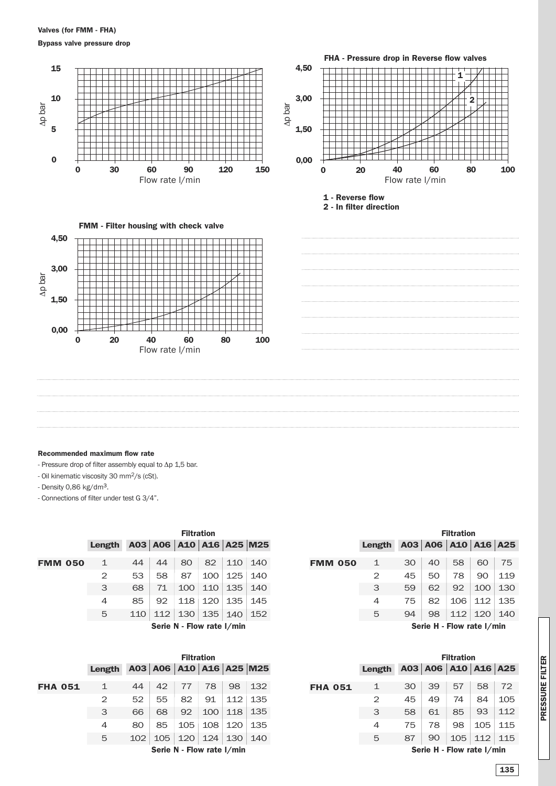#### **Valves (for FMM - FHA)**

**Bypass valve pressure drop**



#### **Recommended maximum flow rate**

- Pressure drop of filter assembly equal to Δp 1,5 bar.

- Oil kinematic viscosity 30 mm2/s (cSt).

- Density 0,86 kg/dm3.

- Connections of filter under test G 3/4".

|                |                | <b>Filtration</b> |     |                           |     |     |                         |  |  |
|----------------|----------------|-------------------|-----|---------------------------|-----|-----|-------------------------|--|--|
|                | <b>Length</b>  |                   |     |                           |     |     | A03 A06 A10 A16 A25 M25 |  |  |
| <b>FMM 050</b> | $\mathbf{1}$   | 44                | 44  | 80                        | 82  | 110 | 140                     |  |  |
|                | 2              | 53                | 58  | 87                        | 100 | 125 | 140                     |  |  |
|                | 3              | 68                | 71  | 100                       | 110 | 135 | 140                     |  |  |
|                | $\overline{4}$ | 85                | 92  | 118                       | 120 | 135 | 145                     |  |  |
|                | 5              | 110               | 112 | 130                       | 135 | 140 | 152                     |  |  |
|                |                |                   |     | Serie N - Flow rate I/min |     |     |                         |  |  |

|                | гшланин                   |     |                         |     |     |     |     |  |  |
|----------------|---------------------------|-----|-------------------------|-----|-----|-----|-----|--|--|
|                | Length                    |     | A03 A06 A10 A16 A25 M25 |     |     |     |     |  |  |
| <b>FHA 051</b> | 1                         | 44  | 42                      | 77  | 78  | 98  | 132 |  |  |
|                | 2                         | 52  | 55                      | 82  | 91  | 112 | 135 |  |  |
|                | 3                         | 66  | 68                      | 92  | 100 | 118 | 135 |  |  |
|                | 4                         | 80  | 85                      | 105 | 108 | 120 | 135 |  |  |
|                | 5                         | 102 | 105                     | 120 | 124 | 130 | 140 |  |  |
|                | Serie N - Flow rate I/min |     |                         |     |     |     |     |  |  |

|                                                 | <b>Filtration</b> |     |                       |                | <b>Filtration</b> |    |                     |     |     |
|-------------------------------------------------|-------------------|-----|-----------------------|----------------|-------------------|----|---------------------|-----|-----|
|                                                 |                   |     | \10   A16   A25   M25 |                | Length            |    | A03 A06 A10 A16 A25 |     |     |
| 80                                              | 82                | 110 | 140                   | <b>FMM 050</b> | 1                 | 30 | 40                  | 58  | 60  |
| 87                                              | 100               | 125 | 140                   |                | 2                 | 45 | 50                  | 78  | 90  |
| LOO.                                            | 110               | 135 | 140                   |                | 3                 | 59 | 62                  | 92  | 100 |
| L18                                             | 120               | 135 | 145                   |                | $\overline{4}$    | 75 | 82                  | 106 | 112 |
| L3O                                             | 135               | 140 | 152                   |                | 5                 | 94 | 98                  | 112 | 120 |
| Saria H - Flow rata I/min<br>- Flow roto I /min |                   |     |                       |                |                   |    |                     |     |     |

**Serie H - Flow rate l/min**

|                                                | <b>Filtration</b> |     |                       |                | <b>Filtration</b> |    |                             |     |     |     |
|------------------------------------------------|-------------------|-----|-----------------------|----------------|-------------------|----|-----------------------------|-----|-----|-----|
|                                                |                   |     | \10   A16   A25   M25 |                | Length            |    | A03   A06   A10   A16   A25 |     |     |     |
| 77                                             | 78                | 98  | 132                   | <b>FHA 051</b> | 1                 | 30 | 39                          | 57  | 58  |     |
| 82                                             | 91                | 112 | 135                   |                | $\mathbf{2}$      | 45 | 49                          | 74  | 84  |     |
| 92                                             | 100               | 118 | 135                   |                | 3                 | 58 | 61                          | 85  | 93  |     |
| LO5                                            | 108               | 120 | 135                   |                | 4                 | 75 | 78                          | 98  | 105 |     |
| <b>20</b>                                      | 124               | 130 | 140                   |                | 5                 | 87 | 90                          | 105 | 112 | 115 |
| Serie H - Flow rate I/min<br>- Flow rate I/min |                   |     |                       |                |                   |    |                             |     |     |     |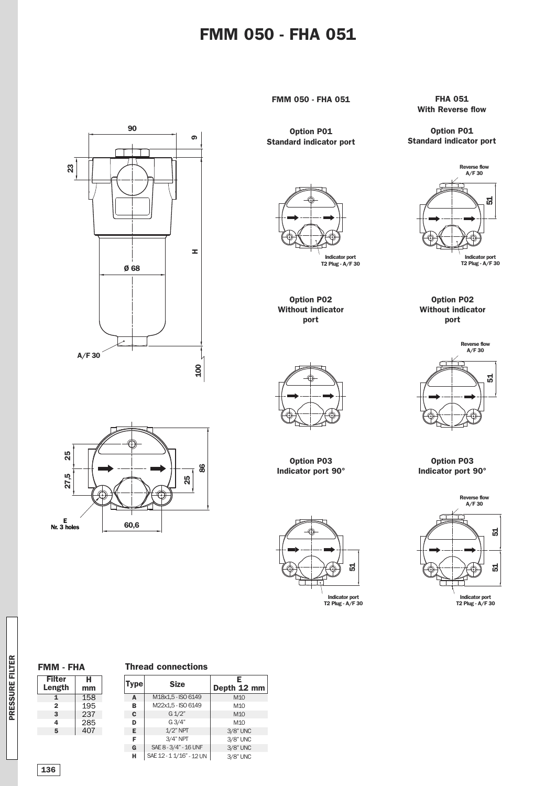### **FMM 050 - FHA 051**



**Option P01 Standard indicator port**

> **Option P02 Without indicator port**

**Indicator port T2 Plug - A/F 30**

**FHA 051 With Reverse flow**

**Option P01 Standard indicator port**



**Option P02 Without indicator port**



**Option P03 Indicator port 90°**







**Option P03 Indicator port 90°**



**Indicator port T2 Plug - A/F 30**

**Filter H FMM - FHA**

**mm**

**Length**

#### **Thread connections**

| <b>Type</b> | <b>Size</b>              | Е<br>Depth 12 mm |
|-------------|--------------------------|------------------|
| A           | M18x1,5 - ISO 6149       | M <sub>10</sub>  |
| в           | M22x1,5 - ISO 6149       | M <sub>10</sub>  |
| C           | $G\,1/2"$                | M <sub>10</sub>  |
| D           | G3/4"                    | M <sub>10</sub>  |
| Е           | $1/2$ " NPT              | 3/8" UNC         |
| F           | $3/4"$ NPT               | 3/8" UNC         |
| G           | SAE 8 - 3/4" - 16 UNF    | 3/8" UNC         |
| н           | SAE 12 - 1 1/16" - 12 UN | 3/8" UNC         |

**136**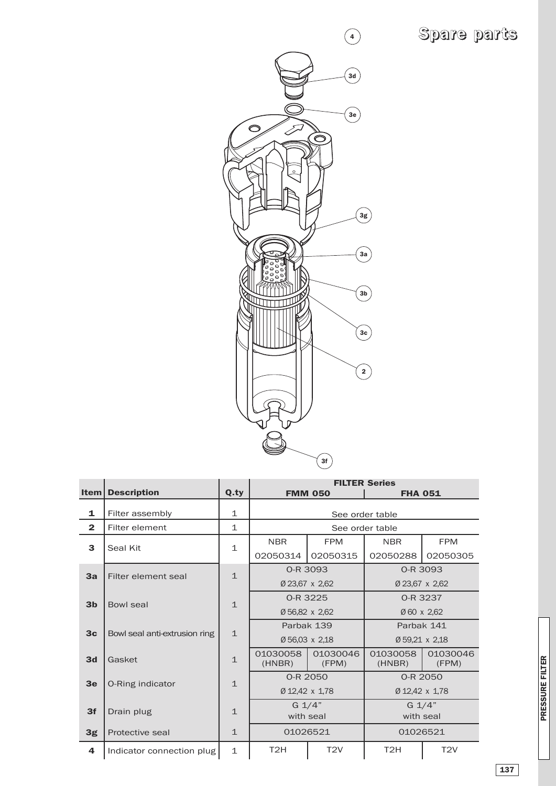# **Spare parts**



|                |                               |              | <b>FILTER Series</b>                         |                   |                    |                   |  |  |
|----------------|-------------------------------|--------------|----------------------------------------------|-------------------|--------------------|-------------------|--|--|
| Item           | <b>Description</b>            | Q.ty         |                                              | <b>FMM 050</b>    | <b>FHA 051</b>     |                   |  |  |
| 1              | Filter assembly               | $\mathbf 1$  |                                              |                   | See order table    |                   |  |  |
| $\overline{2}$ | Filter element                | $\mathbf{1}$ |                                              |                   | See order table    |                   |  |  |
| 3              | Seal Kit                      | $\mathbf{1}$ | <b>NBR</b>                                   | <b>FPM</b>        | <b>NBR</b>         | <b>FPM</b>        |  |  |
|                |                               |              | 02050314                                     | 02050315          | 02050288           | 02050305          |  |  |
| 3a             | Filter element seal           | $\mathbf{1}$ |                                              | 0-R 3093          |                    | 0-R 3093          |  |  |
|                |                               |              |                                              | Ø 23,67 x 2,62    |                    | Ø 23,67 x 2,62    |  |  |
| 3 <sub>b</sub> | Bowl seal                     | $\mathbf{1}$ |                                              | 0-R 3225          | 0-R 3237           |                   |  |  |
|                |                               |              |                                              | Ø 56,82 x 2,62    | Ø 60 x 2,62        |                   |  |  |
| 3 <sub>c</sub> |                               | $\mathbf{1}$ |                                              | Parbak 139        | Parbak 141         |                   |  |  |
|                | Bowl seal anti-extrusion ring |              |                                              | Ø 56,03 x 2,18    | Ø 59,21 x 2,18     |                   |  |  |
| 3d             | Gasket                        | $\mathbf{1}$ | 01030058<br>(HNBR)                           | 01030046<br>(FPM) | 01030058<br>(HNBR) | 01030046<br>(FPM) |  |  |
|                |                               | 0-R 2050     |                                              |                   | 0-R 2050           |                   |  |  |
| 3 <sub>e</sub> | O-Ring indicator              | $\mathbf{1}$ |                                              | Ø 12,42 x 1,78    | Ø 12,42 x 1,78     |                   |  |  |
| 3f             |                               |              | $G \frac{1}{4}$<br>$\mathbf{1}$<br>with seal |                   |                    | $G_1/4"$          |  |  |
|                | Drain plug                    |              |                                              |                   |                    | with seal         |  |  |
| 3g             | Protective seal               | $\mathbf{1}$ | 01026521                                     |                   | 01026521           |                   |  |  |
| 4              | Indicator connection plug     | $\mathbf 1$  | T <sub>2</sub> H                             | T <sub>2V</sub>   | T <sub>2</sub> H   | T2V               |  |  |

**137**